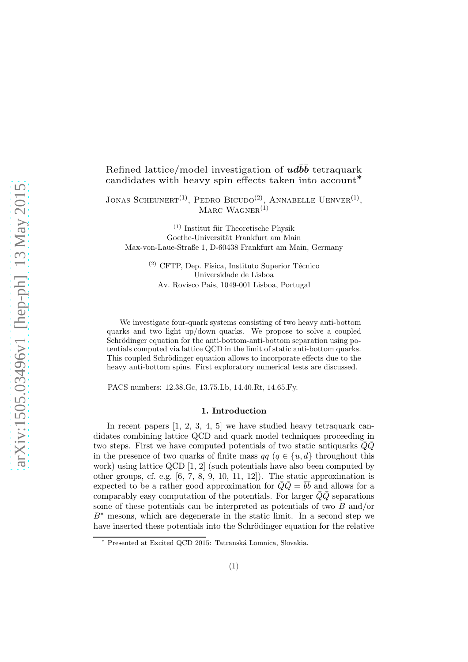## Refined lattice/model investigation of  $ud\bar{b}\bar{b}$  tetraquark candidates with heavy spin effects taken into account<sup>\*</sup>

JONAS SCHEUNERT<sup>(1)</sup>, PEDRO BICUDO<sup>(2)</sup>, ANNABELLE UENVER<sup>(1)</sup>, MARC WAGNER $^{(1)}$ 

 $(1)$  Institut für Theoretische Physik Goethe-Universität Frankfurt am Main Max-von-Laue-Straße 1, D-60438 Frankfurt am Main, Germany

> $(2)$  CFTP, Dep. Física, Instituto Superior Técnico Universidade de Lisboa Av. Rovisco Pais, 1049-001 Lisboa, Portugal

We investigate four-quark systems consisting of two heavy anti-bottom quarks and two light up/down quarks. We propose to solve a coupled Schrödinger equation for the anti-bottom-anti-bottom separation using potentials computed via lattice QCD in the limit of static anti-bottom quarks. This coupled Schrödinger equation allows to incorporate effects due to the heavy anti-bottom spins. First exploratory numerical tests are discussed.

PACS numbers: 12.38.Gc, 13.75.Lb, 14.40.Rt, 14.65.Fy.

#### 1. Introduction

In recent papers  $[1, 2, 3, 4, 5]$  $[1, 2, 3, 4, 5]$  $[1, 2, 3, 4, 5]$  $[1, 2, 3, 4, 5]$  $[1, 2, 3, 4, 5]$  we have studied heavy tetraquark candidates combining lattice QCD and quark model techniques proceeding in two steps. First we have computed potentials of two static antiquarks  $QQ$ in the presence of two quarks of finite mass  $qq (q \in \{u, d\})$  throughout this work) using lattice QCD [\[1,](#page-5-0) [2\]](#page-5-1) (such potentials have also been computed by other groups, cf. e.g.  $[6, 7, 8, 9, 10, 11, 12]$  $[6, 7, 8, 9, 10, 11, 12]$  $[6, 7, 8, 9, 10, 11, 12]$  $[6, 7, 8, 9, 10, 11, 12]$  $[6, 7, 8, 9, 10, 11, 12]$  $[6, 7, 8, 9, 10, 11, 12]$  $[6, 7, 8, 9, 10, 11, 12]$ . The static approximation is expected to be a rather good approximation for  $\overline{Q}\overline{Q} = \overline{b}\overline{b}$  and allows for a comparably easy computation of the potentials. For larger  $\overline{Q}\overline{Q}$  separations some of these potentials can be interpreted as potentials of two B and/or  $B^*$  mesons, which are degenerate in the static limit. In a second step we have inserted these potentials into the Schrödinger equation for the relative

Presented at Excited QCD 2015: Tatranská Lomnica, Slovakia.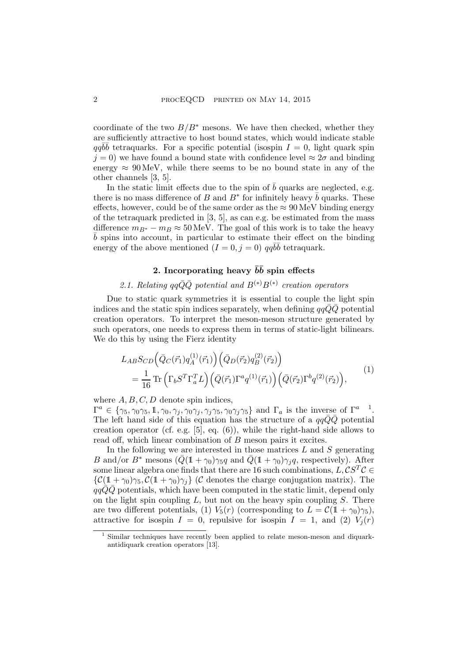coordinate of the two  $B/B^*$  mesons. We have then checked, whether they are sufficiently attractive to host bound states, which would indicate stable  $qq\overline{b}\overline{b}$  tetraquarks. For a specific potential (isospin  $I = 0$ , light quark spin  $j = 0$ ) we have found a bound state with confidence level  $\approx 2\sigma$  and binding energy  $\approx 90 \,\text{MeV}$ , while there seems to be no bound state in any of the other channels [\[3,](#page-5-2) [5\]](#page-5-4).

In the static limit effects due to the spin of  $b$  quarks are neglected, e.g. there is no mass difference of B and  $B^*$  for infinitely heavy  $\bar{b}$  quarks. These effects, however, could be of the same order as the  $\approx 90 \,\text{MeV}$  binding energy of the tetraquark predicted in  $[3, 5]$  $[3, 5]$ , as can e.g. be estimated from the mass difference  $m_{B^*} - m_B \approx 50 \,\text{MeV}$ . The goal of this work is to take the heavy  $\bar{b}$  spins into account, in particular to estimate their effect on the binding energy of the above mentioned  $(I = 0, j = 0)$   $qq\overline{b}\overline{b}$  tetraquark.

## 2. Incorporating heavy  $\bar{b}\bar{b}$  spin effects

# 2.1. Relating  $qq\bar{Q}\bar{Q}$  potential and  $B^{(*)}B^{(*)}$  creation operators

<span id="page-1-2"></span>Due to static quark symmetries it is essential to couple the light spin indices and the static spin indices separately, when defining  $qqQQ$  potential creation operators. To interpret the meson-meson structure generated by such operators, one needs to express them in terms of static-light bilinears. We do this by using the Fierz identity

$$
L_{AB}S_{CD}(\bar{Q}_C(\vec{r}_1)q_A^{(1)}(\vec{r}_1))(\bar{Q}_D(\vec{r}_2)q_B^{(2)}(\vec{r}_2))
$$
  
=  $\frac{1}{16}$  Tr  $(\Gamma_b S^T \Gamma_a^T L)(\bar{Q}(\vec{r}_1) \Gamma^a q^{(1)}(\vec{r}_1))(\bar{Q}(\vec{r}_2) \Gamma^b q^{(2)}(\vec{r}_2)),$  (1)

<span id="page-1-1"></span>where  $A, B, C, D$  denote spin indices,

 $\Gamma^a \in \{\gamma_5, \gamma_0\gamma_5, 1\}, \gamma_0, \gamma_j, \gamma_0\gamma_j, \gamma_j\gamma_5, \gamma_0\gamma_j\gamma_5\}$  $\Gamma^a \in \{\gamma_5, \gamma_0\gamma_5, 1\}, \gamma_0, \gamma_j, \gamma_0\gamma_j, \gamma_j\gamma_5, \gamma_0\gamma_j\gamma_5\}$  $\Gamma^a \in \{\gamma_5, \gamma_0\gamma_5, 1\}, \gamma_0, \gamma_j, \gamma_0\gamma_j, \gamma_j\gamma_5, \gamma_0\gamma_j\gamma_5\}$  and  $\Gamma_a$  is the inverse of  $\Gamma^a$ . The left hand side of this equation has the structure of a  $qq\bar{Q}\bar{Q}$  potential creation operator (cf. e.g. [\[5\]](#page-5-4), eq. (6)), while the right-hand side allows to read off, which linear combination of B meson pairs it excites.

In the following we are interested in those matrices  $L$  and  $S$  generating B and/or  $B^*$  mesons  $(\bar{Q}(1+\gamma_0)\gamma_5q$  and  $\bar{Q}(1+\gamma_0)\gamma_4q$ , respectively). After some linear algebra one finds that there are 16 such combinations,  $L, \mathcal{CS}^T \mathcal{C} \in$  $\{\mathcal{C}(1+\gamma_0)\gamma_5, \mathcal{C}(1+\gamma_0)\gamma_j\}$  (C denotes the charge conjugation matrix). The  $qq\bar{Q}\bar{Q}$  potentials, which have been computed in the static limit, depend only on the light spin coupling  $L$ , but not on the heavy spin coupling  $S$ . There are two different potentials, (1)  $V_5(r)$  (corresponding to  $L = \mathcal{C}(1+\gamma_0)\gamma_5$ ), attractive for isospin  $I = 0$ , repulsive for isospin  $I = 1$ , and (2)  $V_i(r)$ 

<span id="page-1-0"></span>Similar techniques have recently been applied to relate meson-meson and diquarkantidiquark creation operators [\[13\]](#page-5-12).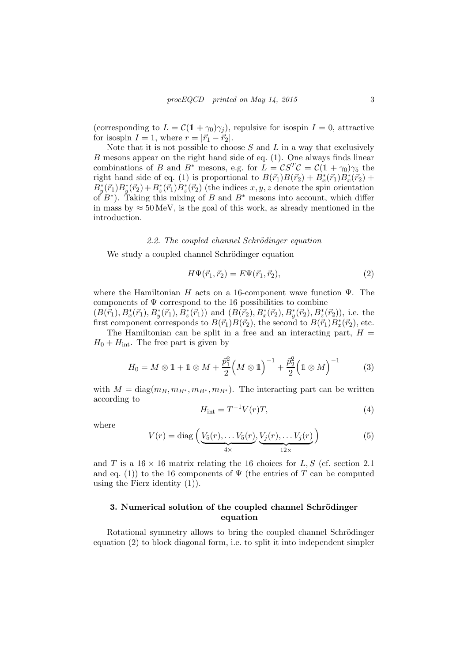(corresponding to  $L = \mathcal{C}(1 + \gamma_0)\gamma_j$ ), repulsive for isospin  $I = 0$ , attractive for isospin  $I = 1$ , where  $r = |\vec{r}_1 - \vec{r}_2|$ .

Note that it is not possible to choose  $S$  and  $L$  in a way that exclusively B mesons appear on the right hand side of eq. [\(1\)](#page-1-1). One always finds linear combinations of B and  $B^*$  mesons, e.g. for  $\hat{L} = \mathcal{C}S^T\mathcal{C} = \mathcal{C}(1 + \gamma_0)\gamma_5$  the right hand side of eq. [\(1\)](#page-1-1) is proportional to  $B(\vec{r}_1)B(\vec{r}_2) + B_x^*(\vec{r}_1)B_x^*(\vec{r}_2) +$  $B_{y}^{*}(\vec{r}_{1})B_{y}^{*}(\vec{r}_{2})+B_{z}^{*}(\vec{r}_{1})B_{z}^{*}(\vec{r}_{2})$  (the indices  $x, y, z$  denote the spin orientation of  $B^*$ ). Taking this mixing of B and  $B^*$  mesons into account, which differ in mass by  $\approx 50 \,\text{MeV}$ , is the goal of this work, as already mentioned in the introduction.

#### 2.2. The coupled channel Schrödinger equation

We study a coupled channel Schrödinger equation

<span id="page-2-0"></span>
$$
H\Psi(\vec{r}_1, \vec{r}_2) = E\Psi(\vec{r}_1, \vec{r}_2),\tag{2}
$$

where the Hamiltonian H acts on a 16-component wave function  $\Psi$ . The components of  $\Psi$  correspond to the 16 possibilities to combine  $(B(\vec{r}_1), B_x^*(\vec{r}_1), B_y^*(\vec{r}_1), \dot{B}_z^*(\vec{r}_1))$  and  $(B(\vec{r}_2), B_x^*(\vec{r}_2), B_y^*(\vec{r}_2), B_z^*(\vec{r}_2))$ , i.e. the first component corresponds to  $B(\vec{r}_1)B(\vec{r}_2)$ , the second to  $B(\vec{r}_1)B_x^*(\vec{r}_2)$ , etc.

The Hamiltonian can be split in a free and an interacting part,  $H =$  $H_0 + H_{\text{int}}$ . The free part is given by

$$
H_0 = M \otimes 1 + 1 \otimes M + \frac{\vec{p}_1^2}{2} \left( M \otimes 1 \right)^{-1} + \frac{\vec{p}_2^2}{2} \left( 1 \otimes M \right)^{-1} \tag{3}
$$

with  $M = \text{diag}(m_B, m_{B^*}, m_{B^*}, m_{B^*})$ . The interacting part can be written according to

$$
H_{\rm int} = T^{-1}V(r)T,\tag{4}
$$

where

$$
V(r) = \text{diag}\left(\underbrace{V_5(r), \dots V_5(r)}_{4 \times}, \underbrace{V_j(r), \dots V_j(r)}_{12 \times}\right) \tag{5}
$$

and T is a  $16 \times 16$  matrix relating the 16 choices for L, S (cf. section [2.1](#page-1-2)) and eq. [\(1\)](#page-1-1)) to the 16 components of  $\Psi$  (the entries of T can be computed using the Fierz identity  $(1)$ ).

### <span id="page-2-1"></span>3. Numerical solution of the coupled channel Schrödinger equation

Rotational symmetry allows to bring the coupled channel Schrödinger equation [\(2\)](#page-2-0) to block diagonal form, i.e. to split it into independent simpler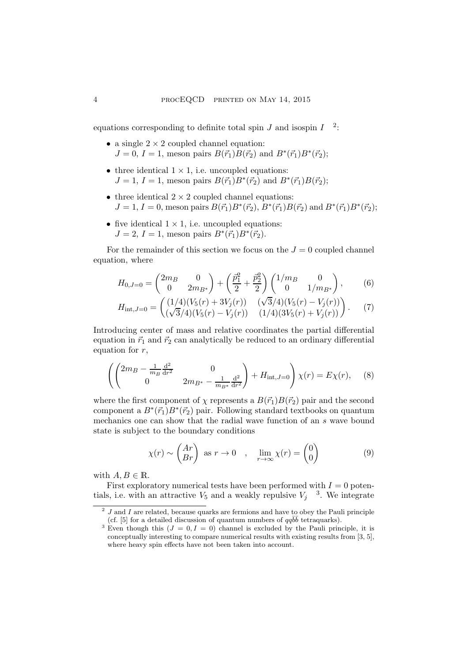equations corresponding to definite total spin  $J$  and isospin  $I^{-2}$  $I^{-2}$  $I^{-2}$ :

- a single  $2 \times 2$  coupled channel equation:  $J = 0, I = 1$ , meson pairs  $B(\vec{r}_1)B(\vec{r}_2)$  and  $B^*(\vec{r}_1)B^*(\vec{r}_2)$ ;
- three identical  $1 \times 1$ , i.e. uncoupled equations:  $J = 1, I = 1$ , meson pairs  $B(\vec{r_1}) B^*(\vec{r_2})$  and  $B^*(\vec{r_1}) B(\vec{r_2})$ ;
- three identical  $2 \times 2$  coupled channel equations:  $J = 1, I = 0$ , meson pairs  $B(\vec{r}_1)B^*(\vec{r}_2)$ ,  $B^*(\vec{r}_1)B(\vec{r}_2)$  and  $B^*(\vec{r}_1)B^*(\vec{r}_2)$ ;
- five identical  $1 \times 1$ , i.e. uncoupled equations:  $J = 2, I = 1$ , meson pairs  $B^*(\vec{r}_1) B^*(\vec{r}_2)$ .

For the remainder of this section we focus on the  $J = 0$  coupled channel equation, where

$$
H_{0,J=0} = \begin{pmatrix} 2m_B & 0 \\ 0 & 2m_{B^*} \end{pmatrix} + \left(\frac{\vec{p}_1^2}{2} + \frac{\vec{p}_2^2}{2}\right) \begin{pmatrix} 1/m_B & 0 \\ 0 & 1/m_{B^*} \end{pmatrix}, \tag{6}
$$

$$
H_{\text{int},J=0} = \begin{pmatrix} (1/4)(V_5(r) + 3V_j(r)) & (\sqrt{3}/4)(V_5(r) - V_j(r)) \\ (\sqrt{3}/4)(V_5(r) - V_j(r)) & (1/4)(3V_5(r) + V_j(r)) \end{pmatrix}.
$$
 (7)

Introducing center of mass and relative coordinates the partial differential equation in  $\vec{r}_1$  and  $\vec{r}_2$  can analytically be reduced to an ordinary differential equation for  $r$ ,

<span id="page-3-2"></span>
$$
\left( \begin{pmatrix} 2m_B - \frac{1}{m_B} \frac{d^2}{dr^2} & 0\\ 0 & 2m_{B^*} - \frac{1}{m_{B^*}} \frac{d^2}{dr^2} \end{pmatrix} + H_{int,J=0} \right) \chi(r) = E\chi(r), \quad (8)
$$

where the first component of  $\chi$  represents a  $B(\vec{r}_1)B(\vec{r}_2)$  pair and the second component a  $B^*(\vec{r}_1)B^*(\vec{r}_2)$  pair. Following standard textbooks on quantum mechanics one can show that the radial wave function of an s wave bound state is subject to the boundary conditions

<span id="page-3-3"></span>
$$
\chi(r) \sim \begin{pmatrix} Ar \\ Br \end{pmatrix} \text{ as } r \to 0 \quad , \quad \lim_{r \to \infty} \chi(r) = \begin{pmatrix} 0 \\ 0 \end{pmatrix} \tag{9}
$$

with  $A, B \in \mathbb{R}$ .

First exploratory numerical tests have been performed with  $I = 0$  potentials, i.e. with an attractive  $V_5$  and a weakly repulsive  $V_j$ <sup>[3](#page-3-1)</sup>. We integrate

 $^{2}$  J and I are related, because quarks are fermions and have to obey the Pauli principle (cf. [\[5\]](#page-5-4) for a detailed discussion of quantum numbers of  $qq\bar{b}\bar{b}$  tetraquarks).

<span id="page-3-1"></span><span id="page-3-0"></span><sup>&</sup>lt;sup>3</sup> Even though this  $(J = 0, I = 0)$  channel is excluded by the Pauli principle, it is conceptually interesting to compare numerical results with existing results from [\[3,](#page-5-2) [5\]](#page-5-4), where heavy spin effects have not been taken into account.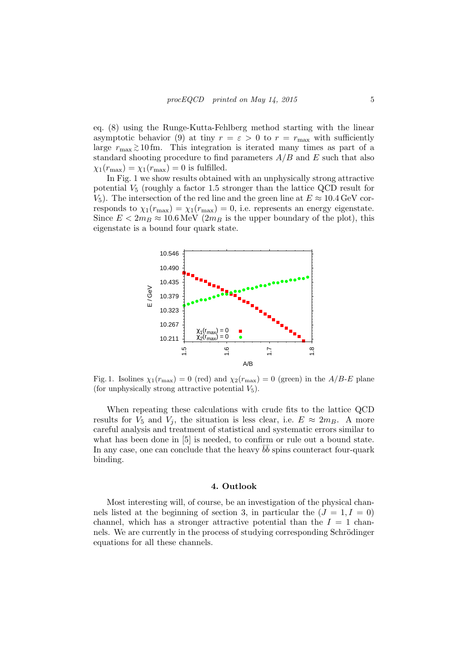eq. [\(8\)](#page-3-2) using the Runge-Kutta-Fehlberg method starting with the linear asymptotic behavior [\(9\)](#page-3-3) at tiny  $r = \varepsilon > 0$  to  $r = r_{\text{max}}$  with sufficiently large  $r_{\text{max}} \gtrsim 10 \text{ fm}$ . This integration is iterated many times as part of a standard shooting procedure to find parameters  $A/B$  and E such that also  $\chi_1(r_{\text{max}}) = \chi_1(r_{\text{max}}) = 0$  is fulfilled.

In Fig. [1](#page-4-0) we show results obtained with an unphysically strong attractive potential  $V_5$  (roughly a factor 1.5 stronger than the lattice QCD result for  $V_5$ ). The intersection of the red line and the green line at  $E \approx 10.4 \,\text{GeV}$  corresponds to  $\chi_1(r_{\text{max}}) = \chi_1(r_{\text{max}}) = 0$ , i.e. represents an energy eigenstate. Since  $E < 2m_B \approx 10.6 \,\text{MeV}$  (2m<sub>B</sub> is the upper boundary of the plot), this eigenstate is a bound four quark state.



<span id="page-4-0"></span>Fig. 1. Isolines  $\chi_1(r_{\text{max}}) = 0$  (red) and  $\chi_2(r_{\text{max}}) = 0$  (green) in the A/B-E plane (for unphysically strong attractive potential  $V_5$ ).

When repeating these calculations with crude fits to the lattice QCD results for  $V_5$  and  $V_j$ , the situation is less clear, i.e.  $E \approx 2m_B$ . A more careful analysis and treatment of statistical and systematic errors similar to what has been done in [\[5\]](#page-5-4) is needed, to confirm or rule out a bound state. In any case, one can conclude that the heavy  $b\bar{b}$  spins counteract four-quark binding.

#### 4. Outlook

Most interesting will, of course, be an investigation of the physical chan-nels listed at the beginning of section [3,](#page-2-1) in particular the  $(J = 1, I = 0)$ channel, which has a stronger attractive potential than the  $I = 1$  channels. We are currently in the process of studying corresponding Schrödinger equations for all these channels.